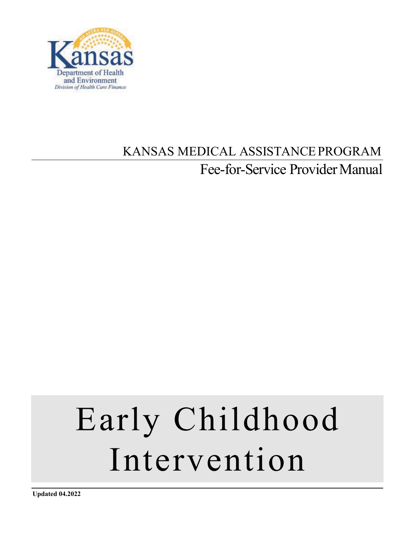

# KANSAS MEDICAL ASSISTANCEPROGRAM Fee-for-Service Provider Manual

# Early Childhood Intervention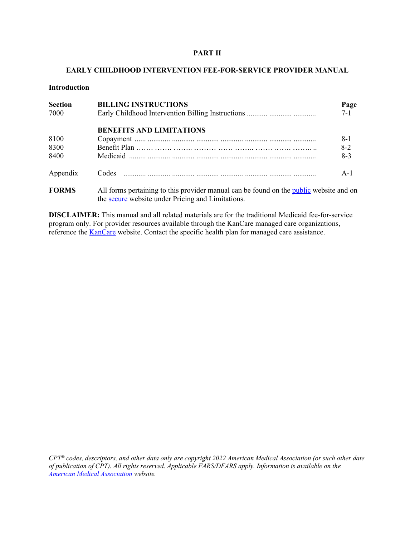#### **PART II**

#### **EARLY CHILDHOOD INTERVENTION FEE-FOR-SERVICE PROVIDER MANUAL**

#### **Introduction**

| <b>Section</b> | <b>BILLING INSTRUCTIONS</b>                                                                   | Page    |
|----------------|-----------------------------------------------------------------------------------------------|---------|
| 7000           |                                                                                               | $7 - 1$ |
|                | <b>BENEFITS AND LIMITATIONS</b>                                                               |         |
| 8100           |                                                                                               | $8-1$   |
| 8300           |                                                                                               | $8-2$   |
| 8400           |                                                                                               | $8 - 3$ |
| Appendix       |                                                                                               | $A-1$   |
| <b>FORMS</b>   | All forms pertaining to this provider manual can be found on the <i>public</i> website and on |         |

the **secure** website under Pricing and Limitations. **DISCLAIMER:** This manual and all related materials are for the traditional Medicaid fee-for-service

program only. For provider resources available through the KanCare managed care organizations, reference the [KanCare](http://www.kancare.ks.gov/) website. Contact the specific health plan for managed care assistance.

*CPT® codes, descriptors, and other data only are copyright 2022 American Medical Association (or such other date of publication of CPT). All rights reserved. Applicable FARS/DFARS apply. Information is available on the [American Medical Association](http://www.ama-assn.org/) website.*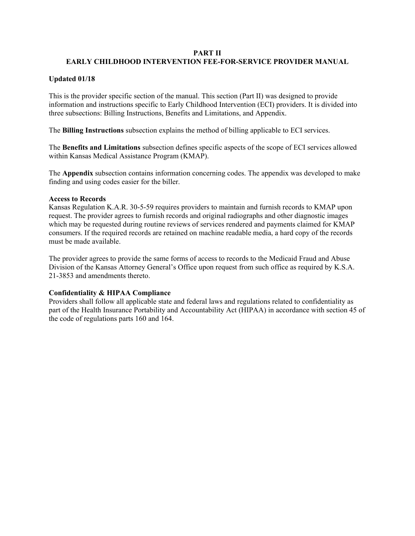#### **PART II**

# **EARLY CHILDHOOD INTERVENTION FEE-FOR-SERVICE PROVIDER MANUAL**

# **Updated 01/18**

This is the provider specific section of the manual. This section (Part II) was designed to provide information and instructions specific to Early Childhood Intervention (ECI) providers. It is divided into three subsections: Billing Instructions, Benefits and Limitations, and Appendix.

The **Billing Instructions** subsection explains the method of billing applicable to ECI services.

The **Benefits and Limitations** subsection defines specific aspects of the scope of ECI services allowed within Kansas Medical Assistance Program (KMAP).

The **Appendix** subsection contains information concerning codes. The appendix was developed to make finding and using codes easier for the biller.

#### **Access to Records**

Kansas Regulation K.A.R. 30-5-59 requires providers to maintain and furnish records to KMAP upon request. The provider agrees to furnish records and original radiographs and other diagnostic images which may be requested during routine reviews of services rendered and payments claimed for KMAP consumers. If the required records are retained on machine readable media, a hard copy of the records must be made available.

The provider agrees to provide the same forms of access to records to the Medicaid Fraud and Abuse Division of the Kansas Attorney General's Office upon request from such office as required by K.S.A. 21-3853 and amendments thereto.

#### **Confidentiality & HIPAA Compliance**

Providers shall follow all applicable state and federal laws and regulations related to confidentiality as part of the Health Insurance Portability and Accountability Act (HIPAA) in accordance with section 45 of the code of regulations parts 160 and 164.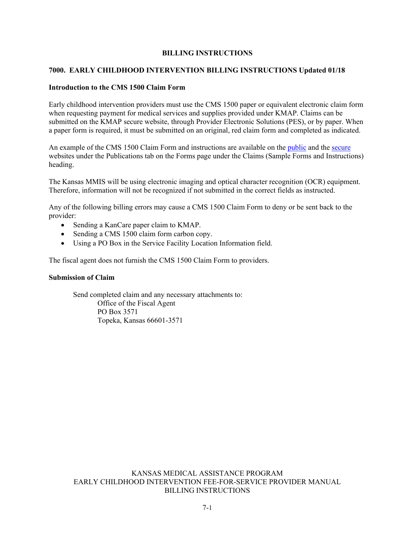#### **BILLING INSTRUCTIONS**

#### **7000. EARLY CHILDHOOD INTERVENTION BILLING INSTRUCTIONS Updated 01/18**

#### **Introduction to the CMS 1500 Claim Form**

Early childhood intervention providers must use the CMS 1500 paper or equivalent electronic claim form when requesting payment for medical services and supplies provided under KMAP. Claims can be submitted on the KMAP secure website, through Provider Electronic Solutions (PES), or by paper. When a paper form is required, it must be submitted on an original, red claim form and completed as indicated.

An example of the CMS 1500 Claim Form and instructions are available on the [public](https://portal.kmap-state-ks.us/PublicPage/ProviderPricing/ProviderPublications#prvForms) and the [secure](https://portal.kmap-state-ks.us/Home/Index) websites under the Publications tab on the [Forms page](https://www.kmap-state-ks.us/Public/forms.asp) under the Claims (Sample Forms and Instructions) heading.

The Kansas MMIS will be using electronic imaging and optical character recognition (OCR) equipment. Therefore, information will not be recognized if not submitted in the correct fields as instructed.

Any of the following billing errors may cause a CMS 1500 Claim Form to deny or be sent back to the provider:

- Sending a KanCare paper claim to KMAP.
- Sending a CMS 1500 claim form carbon copy.
- Using a PO Box in the Service Facility Location Information field.

The fiscal agent does not furnish the CMS 1500 Claim Form to providers.

#### **Submission of Claim**

Send completed claim and any necessary attachments to: Office of the Fiscal Agent PO Box 3571 Topeka, Kansas 66601-3571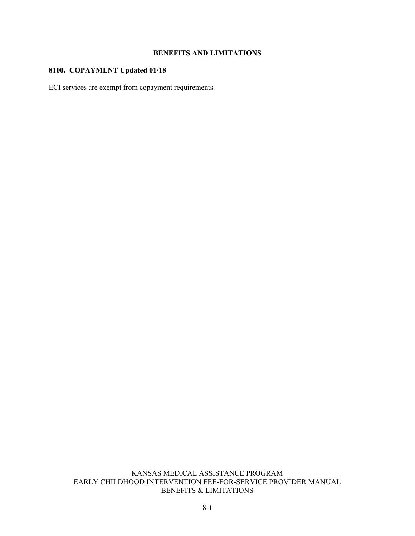# **BENEFITS AND LIMITATIONS**

# **8100. COPAYMENT Updated 01/18**

ECI services are exempt from copayment requirements.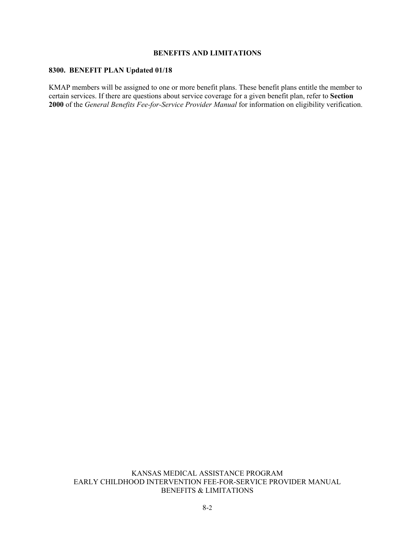# **BENEFITS AND LIMITATIONS**

#### **8300. BENEFIT PLAN Updated 01/18**

KMAP members will be assigned to one or more benefit plans. These benefit plans entitle the member to certain services. If there are questions about service coverage for a given benefit plan, refer to **Section 2000** of the *General Benefits Fee-for-Service Provider Manual* for information on eligibility verification.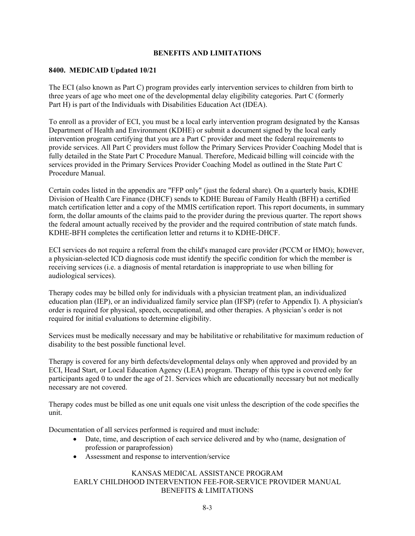#### **BENEFITS AND LIMITATIONS**

#### **8400. MEDICAID Updated 10/21**

The ECI (also known as Part C) program provides early intervention services to children from birth to three years of age who meet one of the developmental delay eligibility categories. Part C (formerly Part H) is part of the Individuals with Disabilities Education Act (IDEA).

To enroll as a provider of ECI, you must be a local early intervention program designated by the Kansas Department of Health and Environment (KDHE) or submit a document signed by the local early intervention program certifying that you are a Part C provider and meet the federal requirements to provide services. All Part C providers must follow the Primary Services Provider Coaching Model that is fully detailed in the State Part C Procedure Manual. Therefore, Medicaid billing will coincide with the services provided in the Primary Services Provider Coaching Model as outlined in the State Part C Procedure Manual.

Certain codes listed in the appendix are "FFP only" (just the federal share). On a quarterly basis, KDHE Division of Health Care Finance (DHCF) sends to KDHE Bureau of Family Health (BFH) a certified match certification letter and a copy of the MMIS certification report. This report documents, in summary form, the dollar amounts of the claims paid to the provider during the previous quarter. The report shows the federal amount actually received by the provider and the required contribution of state match funds. KDHE-BFH completes the certification letter and returns it to KDHE-DHCF.

ECI services do not require a referral from the child's managed care provider (PCCM or HMO); however, a physician-selected ICD diagnosis code must identify the specific condition for which the member is receiving services (i.e. a diagnosis of mental retardation is inappropriate to use when billing for audiological services).

Therapy codes may be billed only for individuals with a physician treatment plan, an individualized education plan (IEP), or an individualized family service plan (IFSP) (refer to Appendix I). A physician's order is required for physical, speech, occupational, and other therapies. A physician's order is not required for initial evaluations to determine eligibility.

Services must be medically necessary and may be habilitative or rehabilitative for maximum reduction of disability to the best possible functional level.

Therapy is covered for any birth defects/developmental delays only when approved and provided by an ECI, Head Start, or Local Education Agency (LEA) program. Therapy of this type is covered only for participants aged 0 to under the age of 21. Services which are educationally necessary but not medically necessary are not covered.

Therapy codes must be billed as one unit equals one visit unless the description of the code specifies the unit.

Documentation of all services performed is required and must include:

- Date, time, and description of each service delivered and by who (name, designation of profession or paraprofession)
- Assessment and response to intervention/service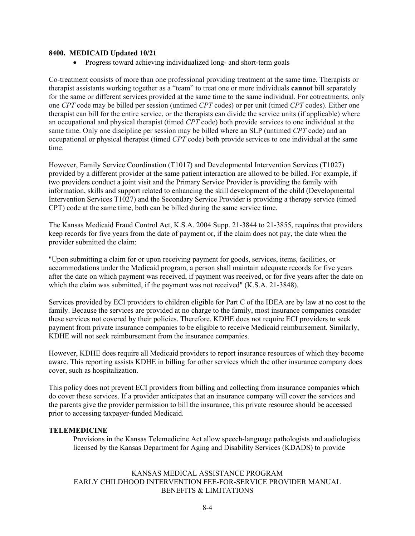#### **8400. MEDICAID Updated 10/21**

• Progress toward achieving individualized long- and short-term goals

Co-treatment consists of more than one professional providing treatment at the same time. Therapists or therapist assistants working together as a "team" to treat one or more individuals **cannot** bill separately for the same or different services provided at the same time to the same individual. For cotreatments, only one *CPT* code may be billed per session (untimed *CPT* codes) or per unit (timed *CPT* codes). Either one therapist can bill for the entire service, or the therapists can divide the service units (if applicable) where an occupational and physical therapist (timed *CPT* code) both provide services to one individual at the same time. Only one discipline per session may be billed where an SLP (untimed *CPT* code) and an occupational or physical therapist (timed *CPT* code) both provide services to one individual at the same time.

However, Family Service Coordination (T1017) and Developmental Intervention Services (T1027) provided by a different provider at the same patient interaction are allowed to be billed. For example, if two providers conduct a joint visit and the Primary Service Provider is providing the family with information, skills and support related to enhancing the skill development of the child (Developmental Intervention Services T1027) and the Secondary Service Provider is providing a therapy service (timed CPT) code at the same time, both can be billed during the same service time.

The Kansas Medicaid Fraud Control Act, K.S.A. 2004 Supp. 21-3844 to 21-3855, requires that providers keep records for five years from the date of payment or, if the claim does not pay, the date when the provider submitted the claim:

"Upon submitting a claim for or upon receiving payment for goods, services, items, facilities, or accommodations under the Medicaid program, a person shall maintain adequate records for five years after the date on which payment was received, if payment was received, or for five years after the date on which the claim was submitted, if the payment was not received" (K.S.A. 21-3848).

Services provided by ECI providers to children eligible for Part C of the IDEA are by law at no cost to the family. Because the services are provided at no charge to the family, most insurance companies consider these services not covered by their policies. Therefore, KDHE does not require ECI providers to seek payment from private insurance companies to be eligible to receive Medicaid reimbursement. Similarly, KDHE will not seek reimbursement from the insurance companies.

However, KDHE does require all Medicaid providers to report insurance resources of which they become aware. This reporting assists KDHE in billing for other services which the other insurance company does cover, such as hospitalization.

This policy does not prevent ECI providers from billing and collecting from insurance companies which do cover these services. If a provider anticipates that an insurance company will cover the services and the parents give the provider permission to bill the insurance, this private resource should be accessed prior to accessing taxpayer-funded Medicaid.

#### **TELEMEDICINE**

Provisions in the Kansas Telemedicine Act allow speech-language pathologists and audiologists licensed by the Kansas Department for Aging and Disability Services (KDADS) to provide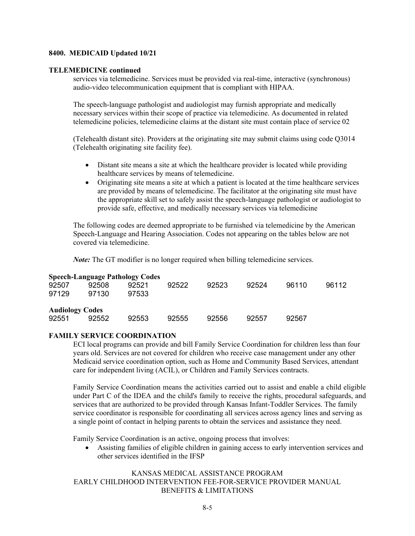#### **8400. MEDICAID Updated 10/21**

#### **TELEMEDICINE continued**

services via telemedicine. Services must be provided via real-time, interactive (synchronous) audio-video telecommunication equipment that is compliant with HIPAA.

The speech-language pathologist and audiologist may furnish appropriate and medically necessary services within their scope of practice via telemedicine. As documented in related telemedicine policies, telemedicine claims at the distant site must contain place of service 02

(Telehealth distant site). Providers at the originating site may submit claims using code Q3014 (Telehealth originating site facility fee).

- Distant site means a site at which the healthcare provider is located while providing healthcare services by means of telemedicine.
- Originating site means a site at which a patient is located at the time healthcare services are provided by means of telemedicine. The facilitator at the originating site must have the appropriate skill set to safely assist the speech-language pathologist or audiologist to provide safe, effective, and medically necessary services via telemedicine

The following codes are deemed appropriate to be furnished via telemedicine by the American Speech-Language and Hearing Association. Codes not appearing on the tables below are not covered via telemedicine.

*Note:* The GT modifier is no longer required when billing telemedicine services.

|                        |       | <b>Speech-Language Pathology Codes</b> |       |       |       |       |       |
|------------------------|-------|----------------------------------------|-------|-------|-------|-------|-------|
| 92507                  | 92508 | 92521                                  | 92522 | 92523 | 92524 | 96110 | 96112 |
| 97129                  | 97130 | 97533                                  |       |       |       |       |       |
| <b>Audiology Codes</b> |       |                                        |       |       |       |       |       |
| 92551                  | 92552 | 92553                                  | 92555 | 92556 | 92557 | 92567 |       |

#### **FAMILY SERVICE COORDINATION**

ECI local programs can provide and bill Family Service Coordination for children less than four years old. Services are not covered for children who receive case management under any other Medicaid service coordination option, such as Home and Community Based Services, attendant care for independent living (ACIL), or Children and Family Services contracts.

Family Service Coordination means the activities carried out to assist and enable a child eligible under Part C of the IDEA and the child's family to receive the rights, procedural safeguards, and services that are authorized to be provided through Kansas Infant-Toddler Services. The family service coordinator is responsible for coordinating all services across agency lines and serving as a single point of contact in helping parents to obtain the services and assistance they need.

Family Service Coordination is an active, ongoing process that involves:

• Assisting families of eligible children in gaining access to early intervention services and other services identified in the IFSP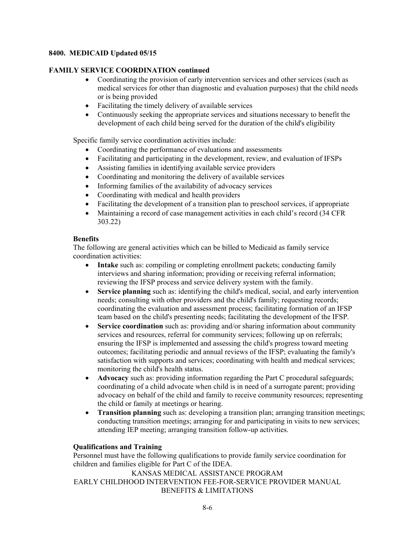#### **8400. MEDICAID Updated 05/15**

# **FAMILY SERVICE COORDINATION continued**

- Coordinating the provision of early intervention services and other services (such as medical services for other than diagnostic and evaluation purposes) that the child needs or is being provided
- Facilitating the timely delivery of available services
- Continuously seeking the appropriate services and situations necessary to benefit the development of each child being served for the duration of the child's eligibility

Specific family service coordination activities include:

- Coordinating the performance of evaluations and assessments
- Facilitating and participating in the development, review, and evaluation of IFSPs
- Assisting families in identifying available service providers
- Coordinating and monitoring the delivery of available services
- Informing families of the availability of advocacy services
- Coordinating with medical and health providers
- Facilitating the development of a transition plan to preschool services, if appropriate
- Maintaining a record of case management activities in each child's record (34 CFR) 303.22)

#### **Benefits**

The following are general activities which can be billed to Medicaid as family service coordination activities:

- **Intake** such as: compiling or completing enrollment packets; conducting family interviews and sharing information; providing or receiving referral information; reviewing the IFSP process and service delivery system with the family.
- **Service planning** such as: identifying the child's medical, social, and early intervention needs; consulting with other providers and the child's family; requesting records; coordinating the evaluation and assessment process; facilitating formation of an IFSP team based on the child's presenting needs; facilitating the development of the IFSP.
- **Service coordination** such as: providing and/or sharing information about community services and resources, referral for community services; following up on referrals; ensuring the IFSP is implemented and assessing the child's progress toward meeting outcomes; facilitating periodic and annual reviews of the IFSP; evaluating the family's satisfaction with supports and services; coordinating with health and medical services; monitoring the child's health status.
- **Advocacy** such as: providing information regarding the Part C procedural safeguards; coordinating of a child advocate when child is in need of a surrogate parent; providing advocacy on behalf of the child and family to receive community resources; representing the child or family at meetings or hearing.
- **Transition planning** such as: developing a transition plan; arranging transition meetings; conducting transition meetings; arranging for and participating in visits to new services; attending IEP meeting; arranging transition follow-up activities.

#### **Qualifications and Training**

Personnel must have the following qualifications to provide family service coordination for children and families eligible for Part C of the IDEA.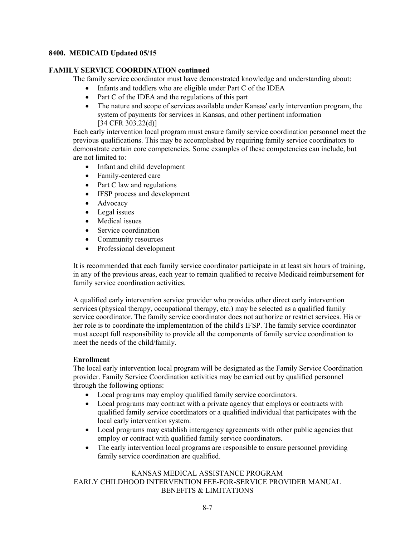# **8400. MEDICAID Updated 05/15**

# **FAMILY SERVICE COORDINATION continued**

The family service coordinator must have demonstrated knowledge and understanding about:

- Infants and toddlers who are eligible under Part C of the IDEA
- Part C of the IDEA and the regulations of this part
- The nature and scope of services available under Kansas' early intervention program, the system of payments for services in Kansas, and other pertinent information [34 CFR 303.22(d)]

Each early intervention local program must ensure family service coordination personnel meet the previous qualifications. This may be accomplished by requiring family service coordinators to demonstrate certain core competencies. Some examples of these competencies can include, but are not limited to:

- Infant and child development
- Family-centered care
- Part C law and regulations
- IFSP process and development
- Advocacy
- Legal issues
- Medical issues
- Service coordination
- Community resources
- Professional development

It is recommended that each family service coordinator participate in at least six hours of training, in any of the previous areas, each year to remain qualified to receive Medicaid reimbursement for family service coordination activities.

A qualified early intervention service provider who provides other direct early intervention services (physical therapy, occupational therapy, etc.) may be selected as a qualified family service coordinator. The family service coordinator does not authorize or restrict services. His or her role is to coordinate the implementation of the child's IFSP. The family service coordinator must accept full responsibility to provide all the components of family service coordination to meet the needs of the child/family.

#### **Enrollment**

The local early intervention local program will be designated as the Family Service Coordination provider. Family Service Coordination activities may be carried out by qualified personnel through the following options:

- Local programs may employ qualified family service coordinators.
- Local programs may contract with a private agency that employs or contracts with qualified family service coordinators or a qualified individual that participates with the local early intervention system.
- Local programs may establish interagency agreements with other public agencies that employ or contract with qualified family service coordinators.
- The early intervention local programs are responsible to ensure personnel providing family service coordination are qualified.

#### KANSAS MEDICAL ASSISTANCE PROGRAM

# EARLY CHILDHOOD INTERVENTION FEE-FOR-SERVICE PROVIDER MANUAL BENEFITS & LIMITATIONS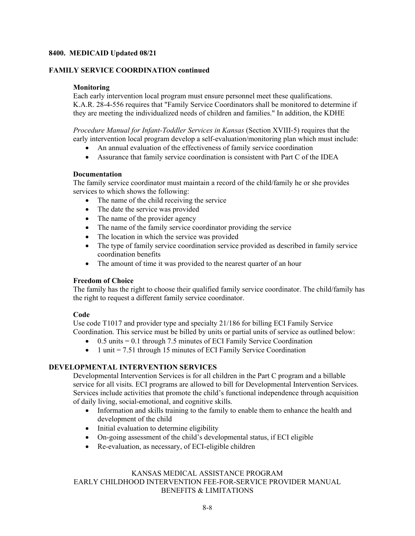#### **8400. MEDICAID Updated 08/21**

#### **FAMILY SERVICE COORDINATION continued**

#### **Monitoring**

Each early intervention local program must ensure personnel meet these qualifications. K.A.R. 28-4-556 requires that "Family Service Coordinators shall be monitored to determine if they are meeting the individualized needs of children and families." In addition, the KDHE

*Procedure Manual for Infant-Toddler Services in Kansas* (Section XVIII-5) requires that the early intervention local program develop a self-evaluation/monitoring plan which must include:

- An annual evaluation of the effectiveness of family service coordination
- Assurance that family service coordination is consistent with Part C of the IDEA

#### **Documentation**

The family service coordinator must maintain a record of the child/family he or she provides services to which shows the following:

- The name of the child receiving the service
- The date the service was provided
- The name of the provider agency
- The name of the family service coordinator providing the service
- The location in which the service was provided
- The type of family service coordination service provided as described in family service coordination benefits
- The amount of time it was provided to the nearest quarter of an hour

#### **Freedom of Choice**

The family has the right to choose their qualified family service coordinator. The child/family has the right to request a different family service coordinator.

#### **Code**

Use code T1017 and provider type and specialty 21/186 for billing ECI Family Service Coordination. This service must be billed by units or partial units of service as outlined below:

- $\bullet$  0.5 units = 0.1 through 7.5 minutes of ECI Family Service Coordination
- 1 unit = 7.51 through 15 minutes of ECI Family Service Coordination

# **DEVELOPMENTAL INTERVENTION SERVICES**

Developmental Intervention Services is for all children in the Part C program and a billable service for all visits. ECI programs are allowed to bill for Developmental Intervention Services. Services include activities that promote the child's functional independence through acquisition of daily living, social-emotional, and cognitive skills.

- Information and skills training to the family to enable them to enhance the health and development of the child
- Initial evaluation to determine eligibility
- On-going assessment of the child's developmental status, if ECI eligible
- Re-evaluation, as necessary, of ECI-eligible children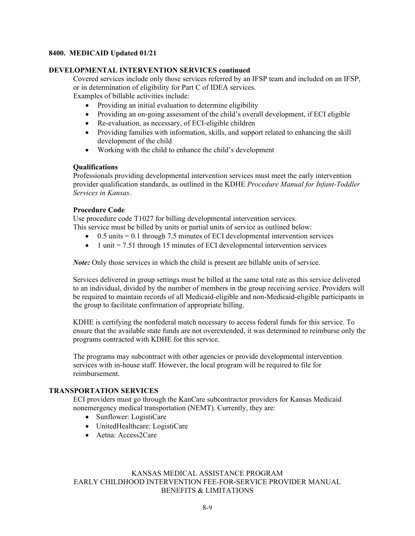#### **8400. MEDICAID Updated 01/21**

# **DEVELOPMENTAL INTERVENTION SERVICES continued**

Covered services include only those services referred by an IFSP team and included on an IFSP, or in determination of eligibility for Part C of IDEA services.

Examples of billable activities include:

- Providing an initial evaluation to determine eligibility
- Providing an on-going assessment of the child's overall development, if ECI eligible
- Re-evaluation, as necessary, of ECI-eligible children
- Providing families with information, skills, and support related to enhancing the skill development of the child
- Working with the child to enhance the child's development

#### **Qualifications**

Professionals providing developmental intervention services must meet the early intervention provider qualification standards, as outlined in the KDHE *Procedure Manual for Infant-Toddler Services in Kansas*.

# **Procedure Code**

Use procedure code T1027 for billing developmental intervention services.

This service must be billed by units or partial units of service as outlined below:

- $\bullet$  0.5 units = 0.1 through 7.5 minutes of ECI developmental intervention services
- 1 unit = 7.51 through 15 minutes of ECI developmental intervention services

*Note:* Only those services in which the child is present are billable units of service.

Services delivered in group settings must be billed at the same total rate as this service delivered to an individual, divided by the number of members in the group receiving service. Providers will be required to maintain records of all Medicaid-eligible and non-Medicaid-eligible participants in the group to facilitate confirmation of appropriate billing.

KDHE is certifying the nonfederal match necessary to access federal funds for this service. To ensure that the available state funds are not overextended, it was determined to reimburse only the programs contracted with KDHE for this service.

The programs may subcontract with other agencies or provide developmental intervention services with in-house staff. However, the local program will be required to file for reimbursement.

# **TRANSPORTATION SERVICES**

ECI providers must go through the KanCare subcontractor providers for Kansas Medicaid nonemergency medical transportation (NEMT). Currently, they are:

- Sunflower: LogistiCare
- UnitedHealthcare: LogistiCare
- Aetna: Access2Care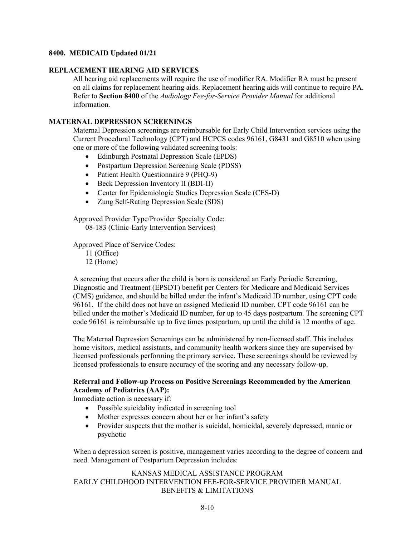#### **8400. MEDICAID Updated 01/21**

#### **REPLACEMENT HEARING AID SERVICES**

All hearing aid replacements will require the use of modifier RA. Modifier RA must be present on all claims for replacement hearing aids. Replacement hearing aids will continue to require PA. Refer to **Section 8400** of the *Audiology Fee-for-Service Provider Manual* for additional information.

#### **MATERNAL DEPRESSION SCREENINGS**

Maternal Depression screenings are reimbursable for Early Child Intervention services using the Current Procedural Technology (CPT) and HCPCS codes 96161, G8431 and G8510 when using one or more of the following validated screening tools:

- Edinburgh Postnatal Depression Scale (EPDS)
- Postpartum Depression Screening Scale (PDSS)
- Patient Health Questionnaire 9 (PHQ-9)
- Beck Depression Inventory II (BDI-II)
- Center for Epidemiologic Studies Depression Scale (CES-D)
- Zung Self-Rating Depression Scale (SDS)

Approved Provider Type/Provider Specialty Code:

08-183 (Clinic-Early Intervention Services)

Approved Place of Service Codes:

11 (Office) 12 (Home)

A screening that occurs after the child is born is considered an Early Periodic Screening, Diagnostic and Treatment (EPSDT) benefit per Centers for Medicare and Medicaid Services (CMS) guidance, and should be billed under the infant's Medicaid ID number, using CPT code 96161. If the child does not have an assigned Medicaid ID number, CPT code 96161 can be billed under the mother's Medicaid ID number, for up to 45 days postpartum. The screening CPT code 96161 is reimbursable up to five times postpartum, up until the child is 12 months of age.

The Maternal Depression Screenings can be administered by non-licensed staff. This includes home visitors, medical assistants, and community health workers since they are supervised by licensed professionals performing the primary service. These screenings should be reviewed by licensed professionals to ensure accuracy of the scoring and any necessary follow-up.

#### **Referral and Follow-up Process on Positive Screenings Recommended by the American Academy of Pediatrics (AAP):**

Immediate action is necessary if:

- Possible suicidality indicated in screening tool
- Mother expresses concern about her or her infant's safety
- Provider suspects that the mother is suicidal, homicidal, severely depressed, manic or psychotic

When a depression screen is positive, management varies according to the degree of concern and need. Management of Postpartum Depression includes: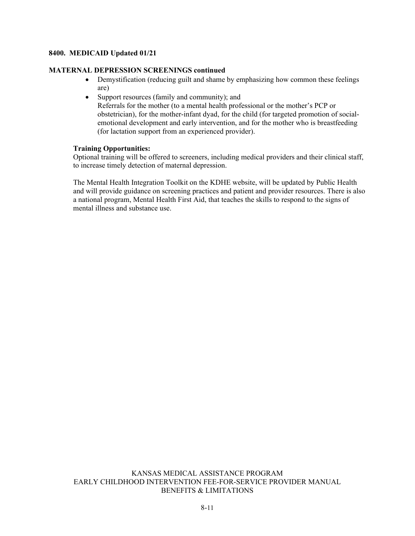#### **8400. MEDICAID Updated 01/21**

#### **MATERNAL DEPRESSION SCREENINGS continued**

- Demystification (reducing guilt and shame by emphasizing how common these feelings are)
- Support resources (family and community); and Referrals for the mother (to a mental health professional or the mother's PCP or obstetrician), for the mother-infant dyad, for the child (for targeted promotion of socialemotional development and early intervention, and for the mother who is breastfeeding (for lactation support from an experienced provider).

#### **Training Opportunities:**

Optional training will be offered to screeners, including medical providers and their clinical staff, to increase timely detection of maternal depression.

The Mental Health Integration Toolkit on the KDHE website, will be updated by Public Health and will provide guidance on screening practices and patient and provider resources. There is also a national program, Mental Health First Aid, that teaches the skills to respond to the signs of mental illness and substance use.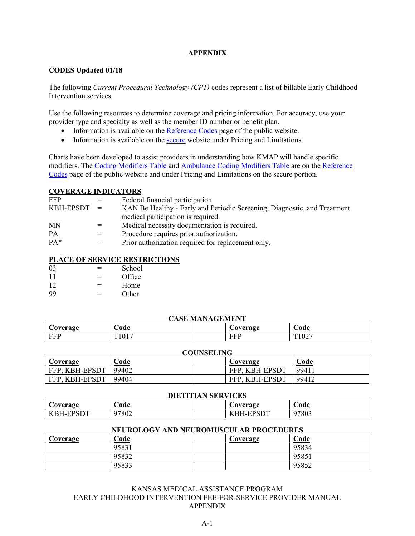#### **APPENDIX**

#### **CODES Updated 01/18**

The following *Current Procedural Technology (CPT)* codes represent a list of billable Early Childhood Intervention services.

Use the following resources to determine coverage and pricing information. For accuracy, use your provider type and specialty as well as the member ID number or benefit plan.

- Information is available on the [Reference Codes](https://portal.kmap-state-ks.us/PublicPage/ProviderPricing/ProviderInteractiveTools) page of the public website.
- Information is available on the [secure](https://portal.kmap-state-ks.us/SecurePage/) website under Pricing and Limitations.

Charts have been developed to assist providers in understanding how KMAP will handle specific modifiers. The [Coding Modifiers Table](https://portal.kmap-state-ks.us/PublicPage/ProviderPricing/ProviderInteractiveTools) and [Ambulance Coding Modifiers Table](https://portal.kmap-state-ks.us/PublicPage/ProviderPricing/ProviderInteractiveTools) are on the [Reference](https://portal.kmap-state-ks.us/PublicPage/ProviderPricing/ProviderInteractiveTools)  [Codes](https://portal.kmap-state-ks.us/PublicPage/ProviderPricing/ProviderInteractiveTools) page of the public website and under Pricing and Limitations on the secure portion.

#### **COVERAGE INDICATORS**

| <b>FFP</b>    |     | Federal financial participation                                          |
|---------------|-----|--------------------------------------------------------------------------|
| $KBH-EPSDT =$ |     | KAN Be Healthy - Early and Periodic Screening, Diagnostic, and Treatment |
|               |     | medical participation is required.                                       |
| <b>MN</b>     | $=$ | Medical necessity documentation is required.                             |
| <b>PA</b>     | $=$ | Procedure requires prior authorization.                                  |
| $PA*$         |     | Prior authorization required for replacement only.                       |
|               |     |                                                                          |

#### **PLACE OF SERVICE RESTRICTIONS**

| 03 | $=$ | School |
|----|-----|--------|
| 11 | $=$ | Office |
| 12 | $=$ | Home   |
| 99 | $=$ | Other  |

#### **CASE MANAGEMENT**

| 'Avaraga        | nde        |  | `avergae | €od€                   |  |
|-----------------|------------|--|----------|------------------------|--|
| <b>EE1</b><br>. | T.<br>101. |  | .        | $\Delta \Delta$<br>104 |  |

#### **COUNSELING**

|                           | ------------ |  |                |          |  |  |
|---------------------------|--------------|--|----------------|----------|--|--|
| Coverage                  | ⊅ode         |  | Coverage       | 'ode     |  |  |
| , KBH-EPSDT<br>FFP.       | 99402        |  | FFP, KBH-EPSDT | $9941_1$ |  |  |
| , KBH-EPSDT<br><b>FFP</b> | 99404        |  | FFP, KBH-EPSDT | 99412    |  |  |

| <b>DIETITIAN SERVICES</b>                          |       |                  |       |  |  |
|----------------------------------------------------|-------|------------------|-------|--|--|
| <b>Code</b><br>⊅ode<br>Coverage<br><b>Coverage</b> |       |                  |       |  |  |
| <b>KBH-EPSDT</b>                                   | 97802 | <b>KBH-EPSDT</b> | 97803 |  |  |

#### **NEUROLOGY AND NEUROMUSCULAR PROCEDURES**

| Coverage | Code  | Coverage | Code  |
|----------|-------|----------|-------|
|          | 95831 |          | 95834 |
|          | 95832 |          | 95851 |
|          | 95833 |          | 95852 |

KANSAS MEDICAL ASSISTANCE PROGRAM EARLY CHILDHOOD INTERVENTION FEE-FOR-SERVICE PROVIDER MANUAL APPENDIX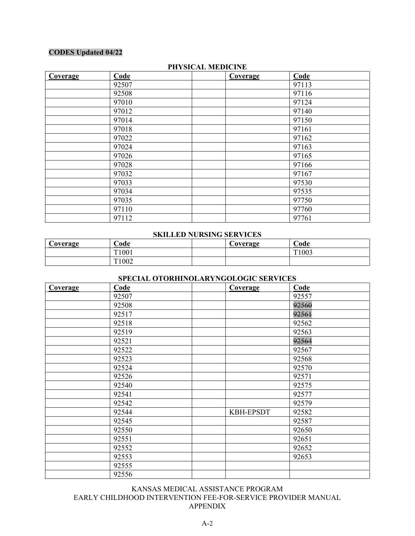# **CODES Updated 04/22**

| Coverage | Code  | <b>Coverage</b> | Code  |
|----------|-------|-----------------|-------|
|          | 92507 |                 | 97113 |
|          | 92508 |                 | 97116 |
|          | 97010 |                 | 97124 |
|          | 97012 |                 | 97140 |
|          | 97014 |                 | 97150 |
|          | 97018 |                 | 97161 |
|          | 97022 |                 | 97162 |
|          | 97024 |                 | 97163 |
|          | 97026 |                 | 97165 |
|          | 97028 |                 | 97166 |
|          | 97032 |                 | 97167 |
|          | 97033 |                 | 97530 |
|          | 97034 |                 | 97535 |
|          | 97035 |                 | 97750 |
|          | 97110 |                 | 97760 |
|          | 97112 |                 | 97761 |

#### **PHYSICAL MEDICINE**

#### **SKILLED NURSING SERVICES**

| ∼<br>Coverage | $\cup$ ode | Coverage | $\sim$<br>ode |
|---------------|------------|----------|---------------|
|               | T1001      |          | T1003         |
|               | T1002      |          |               |

#### **SPECIAL OTORHINOLARYNGOLOGIC SERVICES**

| Coverage | Code  | Coverage         | Code  |
|----------|-------|------------------|-------|
|          | 92507 |                  | 92557 |
|          | 92508 |                  | 92560 |
|          | 92517 |                  | 92561 |
|          | 92518 |                  | 92562 |
|          | 92519 |                  | 92563 |
|          | 92521 |                  | 92564 |
|          | 92522 |                  | 92567 |
|          | 92523 |                  | 92568 |
|          | 92524 |                  | 92570 |
|          | 92526 |                  | 92571 |
|          | 92540 |                  | 92575 |
|          | 92541 |                  | 92577 |
|          | 92542 |                  | 92579 |
|          | 92544 | <b>KBH-EPSDT</b> | 92582 |
|          | 92545 |                  | 92587 |
|          | 92550 |                  | 92650 |
|          | 92551 |                  | 92651 |
|          | 92552 |                  | 92652 |
|          | 92553 |                  | 92653 |
|          | 92555 |                  |       |
|          | 92556 |                  |       |

KANSAS MEDICAL ASSISTANCE PROGRAM EARLY CHILDHOOD INTERVENTION FEE-FOR-SERVICE PROVIDER MANUAL APPENDIX